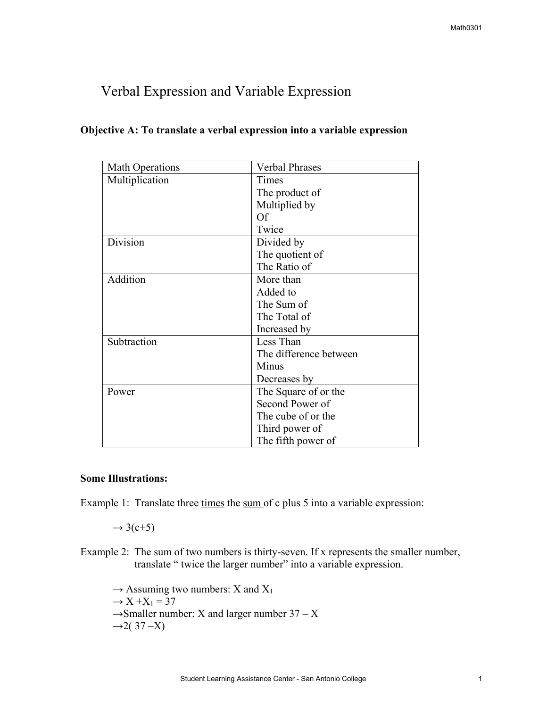# Verbal Expression and Variable Expression

| <b>Math Operations</b> | <b>Verbal Phrases</b>  |
|------------------------|------------------------|
| Multiplication         | Times                  |
|                        | The product of         |
|                        | Multiplied by          |
|                        | <b>Of</b>              |
|                        | Twice                  |
| Division               | Divided by             |
|                        | The quotient of        |
|                        | The Ratio of           |
| Addition               | More than              |
|                        | Added to               |
|                        | The Sum of             |
|                        | The Total of           |
|                        | Increased by           |
| Subtraction            | Less Than              |
|                        | The difference between |
|                        | Minus                  |
|                        | Decreases by           |
| Power                  | The Square of or the   |
|                        | Second Power of        |
|                        | The cube of or the     |
|                        | Third power of         |
|                        | The fifth power of     |

### **Objective A: To translate a verbal expression into a variable expression**

## **Some Illustrations:**

Example 1: Translate three times the sum of c plus 5 into a variable expression:

 $\rightarrow$  3(c+5)

Example 2: The sum of two numbers is thirty-seven. If x represents the smaller number, translate " twice the larger number" into a variable expression.

 $\rightarrow$  Assuming two numbers: X and X<sub>1</sub>  $\rightarrow X + X_1 = 37$  $\rightarrow$ Smaller number: X and larger number 37 – X  $\rightarrow$ 2(37 –X)